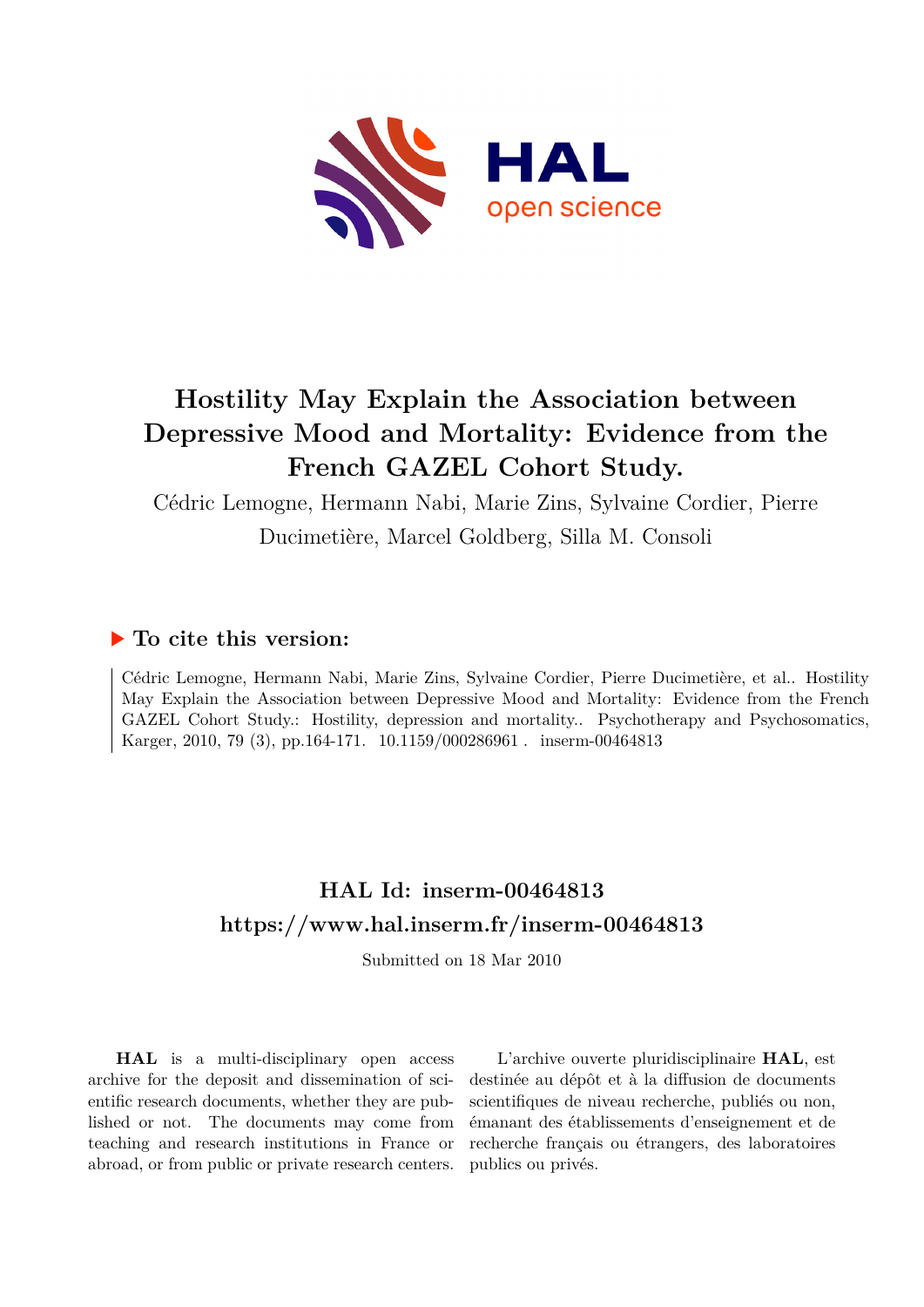

# **Hostility May Explain the Association between Depressive Mood and Mortality: Evidence from the French GAZEL Cohort Study.**

Cédric Lemogne, Hermann Nabi, Marie Zins, Sylvaine Cordier, Pierre Ducimetière, Marcel Goldberg, Silla M. Consoli

## **To cite this version:**

Cédric Lemogne, Hermann Nabi, Marie Zins, Sylvaine Cordier, Pierre Ducimetière, et al.. Hostility May Explain the Association between Depressive Mood and Mortality: Evidence from the French GAZEL Cohort Study.: Hostility, depression and mortality.. Psychotherapy and Psychosomatics, Karger, 2010, 79 (3), pp.164-171. 10.1159/000286961. inserm-00464813

# **HAL Id: inserm-00464813 <https://www.hal.inserm.fr/inserm-00464813>**

Submitted on 18 Mar 2010

**HAL** is a multi-disciplinary open access archive for the deposit and dissemination of scientific research documents, whether they are published or not. The documents may come from teaching and research institutions in France or abroad, or from public or private research centers.

L'archive ouverte pluridisciplinaire **HAL**, est destinée au dépôt et à la diffusion de documents scientifiques de niveau recherche, publiés ou non, émanant des établissements d'enseignement et de recherche français ou étrangers, des laboratoires publics ou privés.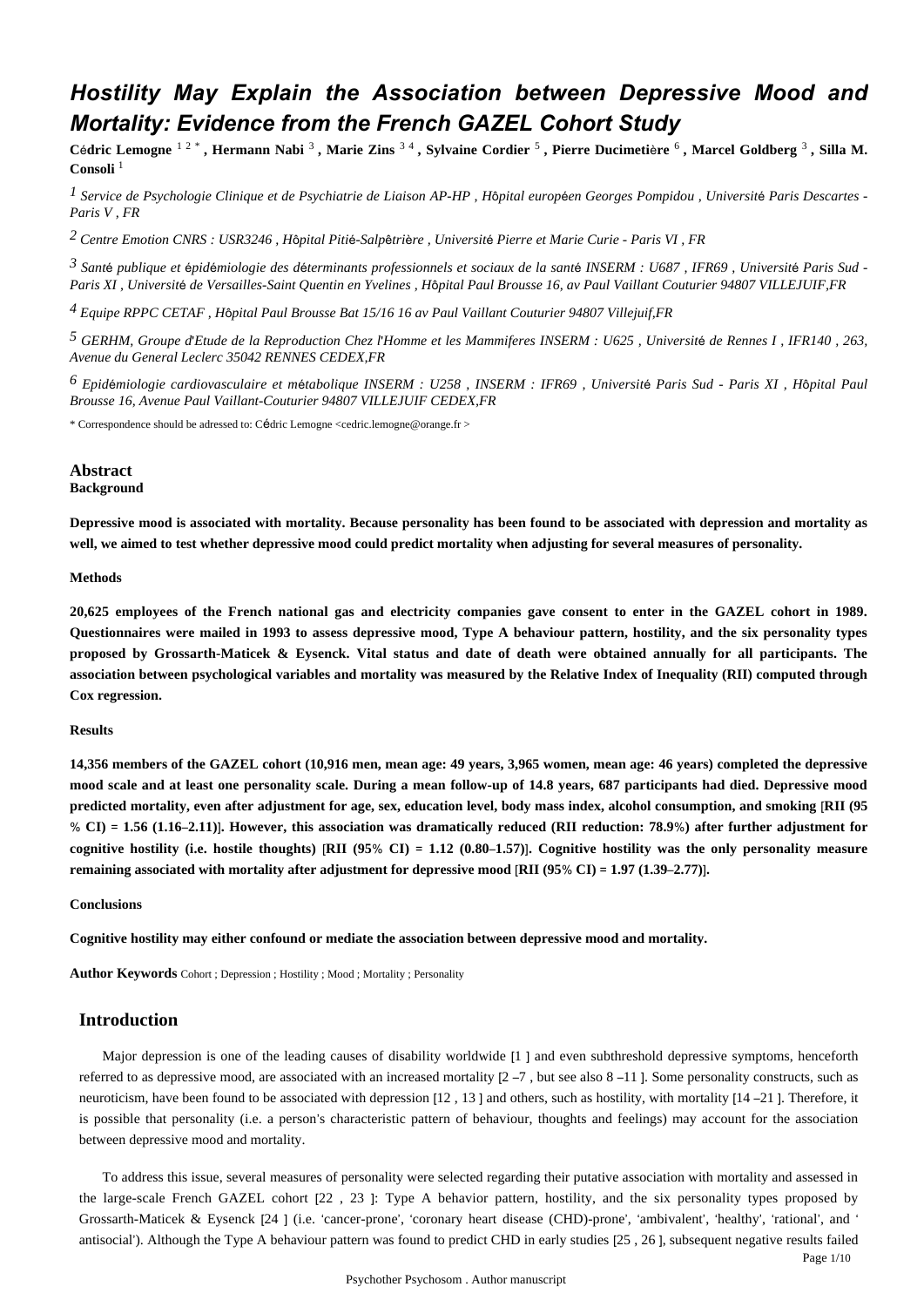## *Hostility May Explain the Association between Depressive Mood and Mortality: Evidence from the French GAZEL Cohort Study*

Cédric Lemogne <sup>12</sup><sup>\*</sup>, Hermann Nabi<sup>3</sup>, Marie Zins<sup>34</sup>, Sylvaine Cordier<sup>5</sup>, Pierre Ducimetière<sup>6</sup>, Marcel Goldberg<sup>3</sup>, Silla M. **Consoli** <sup>1</sup>

*Service de Psychologie Clinique et de Psychiatrie de Liaison 1 AP-HP , H*ô*pital europ*é*en Georges Pompidou , Universit*é *Paris Descartes - Paris V , FR*

*Centre Emotion 2 CNRS : USR3246 , H*ô*pital Piti*é*-Salp*ê*tri*è*re , Universit*é *Pierre et Marie Curie - Paris VI , FR*

*Sant publique et pid miologie des d terminants professionnels et sociaux de la sant 3* <sup>é</sup> <sup>é</sup> <sup>é</sup> <sup>é</sup> <sup>é</sup> *INSERM : U687 , IFR69 , Universit*é *Paris Sud - Paris XI , Universit*é *de Versailles-Saint Quentin en Yvelines , H*ô*pital Paul Brousse 16, av Paul Vaillant Couturier 94807 VILLEJUIF,FR*

<sup>4</sup> Equipe RPPC CETAF, *H*ôpital Paul Brousse Bat 15/16 16 av Paul Vaillant Couturier 94807 Villejuif, FR

*GERHM, Groupe d Etude de la Reproduction Chez l Homme et les Mammiferes 5*  ' ' *INSERM : U625 , Universit*é *de Rennes I , IFR140 , 263, Avenue du General Leclerc 35042 RENNES CEDEX,FR*

*Epid miologie cardiovasculaire et m tabolique 6* <sup>é</sup> <sup>é</sup> *INSERM : U258 , INSERM : IFR69 , Universit*é *Paris Sud - Paris XI , H*ô*pital Paul Brousse 16, Avenue Paul Vaillant-Couturier 94807 VILLEJUIF CEDEX,FR*

\* Correspondence should be adressed to: Cédric Lemogne <cedric.lemogne@orange.fr >

## **Abstract**

## **Background**

**Depressive mood is associated with mortality. Because personality has been found to be associated with depression and mortality as well, we aimed to test whether depressive mood could predict mortality when adjusting for several measures of personality.**

#### **Methods**

**20,625 employees of the French national gas and electricity companies gave consent to enter in the GAZEL cohort in 1989. Questionnaires were mailed in 1993 to assess depressive mood, Type A behaviour pattern, hostility, and the six personality types proposed by Grossarth-Maticek & Eysenck. Vital status and date of death were obtained annually for all participants. The association between psychological variables and mortality was measured by the Relative Index of Inequality (RII) computed through Cox regression.**

#### **Results**

**14,356 members of the GAZEL cohort (10,916 men, mean age: 49 years, 3,965 women, mean age: 46 years) completed the depressive mood scale and at least one personality scale. During a mean follow-up of 14.8 years, 687 participants had died. Depressive mood predicted mortality, even after adjustment for age, sex, education level, body mass index, alcohol consumption, and smoking** [**RII (95** % **CI)** = **1.56 (1.16**–**2.11)**]**. However, this association was dramatically reduced (RII reduction: 78.9**%**) after further adjustment for cognitive hostility (i.e. hostile thoughts)** [**RII (95**% **CI)** = **1.12 (0.80**–**1.57)**]**. Cognitive hostility was the only personality measure remaining associated with mortality after adjustment for depressive mood** [**RII (95**% **CI)** = **1.97 (1.39**–**2.77)**]**.**

#### **Conclusions**

**Cognitive hostility may either confound or mediate the association between depressive mood and mortality.**

**Author Keywords** Cohort ; Depression ; Hostility ; Mood ; Mortality ; Personality

## **Introduction**

Major depression is one of the leading causes of disability worldwide [1 ] and even subthreshold depressive symptoms, henceforth referred to as depressive mood, are associated with an increased mortality  $[2 - 7]$ , but see also  $8 - 11$ . Some personality constructs, such as neuroticism, have been found to be associated with depression [12 , 13 ] and others, such as hostility, with mortality [14 –21 ]. Therefore, it is possible that personality (i.e. a person's characteristic pattern of behaviour, thoughts and feelings) may account for the association between depressive mood and mortality.

To address this issue, several measures of personality were selected regarding their putative association with mortality and assessed in the large-scale French GAZEL cohort [22 , 23 ]: Type A behavior pattern, hostility, and the six personality types proposed by Grossarth-Maticek & Eysenck [24 ] (i.e. 'cancer-prone', 'coronary heart disease (CHD)-prone', 'ambivalent', 'healthy', 'rational', and ' antisocial'). Although the Type A behaviour pattern was found to predict CHD in early studies [25 , 26 ], subsequent negative results failed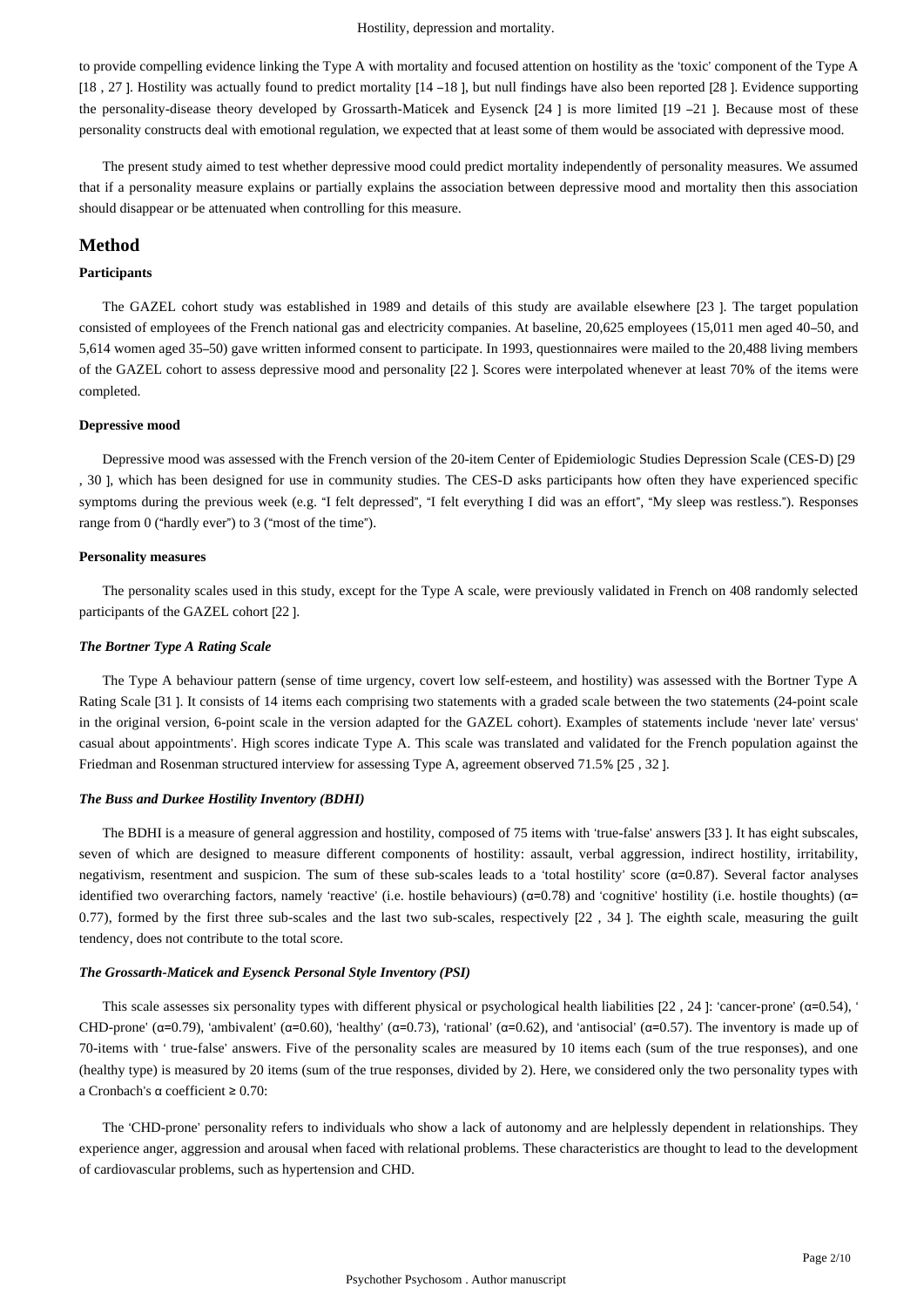to provide compelling evidence linking the Type A with mortality and focused attention on hostility as the 'toxic' component of the Type A [18 , 27 ]. Hostility was actually found to predict mortality [14 –18 ], but null findings have also been reported [28 ]. Evidence supporting the personality-disease theory developed by Grossarth-Maticek and Eysenck [24 ] is more limited [19 –21 ]. Because most of these personality constructs deal with emotional regulation, we expected that at least some of them would be associated with depressive mood.

The present study aimed to test whether depressive mood could predict mortality independently of personality measures. We assumed that if a personality measure explains or partially explains the association between depressive mood and mortality then this association should disappear or be attenuated when controlling for this measure.

## **Method**

## **Participants**

The GAZEL cohort study was established in 1989 and details of this study are available elsewhere [23 ]. The target population consisted of employees of the French national gas and electricity companies. At baseline, 20,625 employees (15,011 men aged 40–50, and 5,614 women aged 35–50) gave written informed consent to participate. In 1993, questionnaires were mailed to the 20,488 living members of the GAZEL cohort to assess depressive mood and personality [22 ]. Scores were interpolated whenever at least 70% of the items were completed.

#### **Depressive mood**

Depressive mood was assessed with the French version of the 20-item Center of Epidemiologic Studies Depression Scale (CES-D) [29 , 30 ], which has been designed for use in community studies. The CES-D asks participants how often they have experienced specific symptoms during the previous week (e.g. "I felt depressed", "I felt everything I did was an effort", "My sleep was restless."). Responses range from 0 ("hardly ever") to 3 ("most of the time").

#### **Personality measures**

The personality scales used in this study, except for the Type A scale, were previously validated in French on 408 randomly selected participants of the GAZEL cohort [22 ].

#### *The Bortner Type A Rating Scale*

The Type A behaviour pattern (sense of time urgency, covert low self-esteem, and hostility) was assessed with the Bortner Type A Rating Scale [31 ]. It consists of 14 items each comprising two statements with a graded scale between the two statements (24-point scale in the original version, 6-point scale in the version adapted for the GAZEL cohort). Examples of statements include 'never late' versus' casual about appointments'. High scores indicate Type A. This scale was translated and validated for the French population against the Friedman and Rosenman structured interview for assessing Type A, agreement observed 71.5% [25 , 32 ].

#### *The Buss and Durkee Hostility Inventory (BDHI)*

The BDHI is a measure of general aggression and hostility, composed of 75 items with 'true-false' answers [33 ]. It has eight subscales, seven of which are designed to measure different components of hostility: assault, verbal aggression, indirect hostility, irritability, negativism, resentment and suspicion. The sum of these sub-scales leads to a 'total hostility' score (α=0.87). Several factor analyses identified two overarching factors, namely 'reactive' (i.e. hostile behaviours) ( $\alpha$ =0.78) and 'cognitive' hostility (i.e. hostile thoughts) ( $\alpha$ = 0.77), formed by the first three sub-scales and the last two sub-scales, respectively [22 , 34 ]. The eighth scale, measuring the guilt tendency, does not contribute to the total score.

#### *The Grossarth-Maticek and Eysenck Personal Style Inventory (PSI)*

This scale assesses six personality types with different physical or psychological health liabilities [22 , 24 ]: 'cancer-prone' (α=0.54), ' CHD-prone' ( $\alpha$ =0.79), 'ambivalent' ( $\alpha$ =0.60), 'healthy' ( $\alpha$ =0.73), 'rational' ( $\alpha$ =0.62), and 'antisocial' ( $\alpha$ =0.57). The inventory is made up of 70-items with ' true-false' answers. Five of the personality scales are measured by 10 items each (sum of the true responses), and one (healthy type) is measured by 20 items (sum of the true responses, divided by 2). Here, we considered only the two personality types with a Cronbach's α coefficient ≥ 0.70:

The 'CHD-prone' personality refers to individuals who show a lack of autonomy and are helplessly dependent in relationships. They experience anger, aggression and arousal when faced with relational problems. These characteristics are thought to lead to the development of cardiovascular problems, such as hypertension and CHD.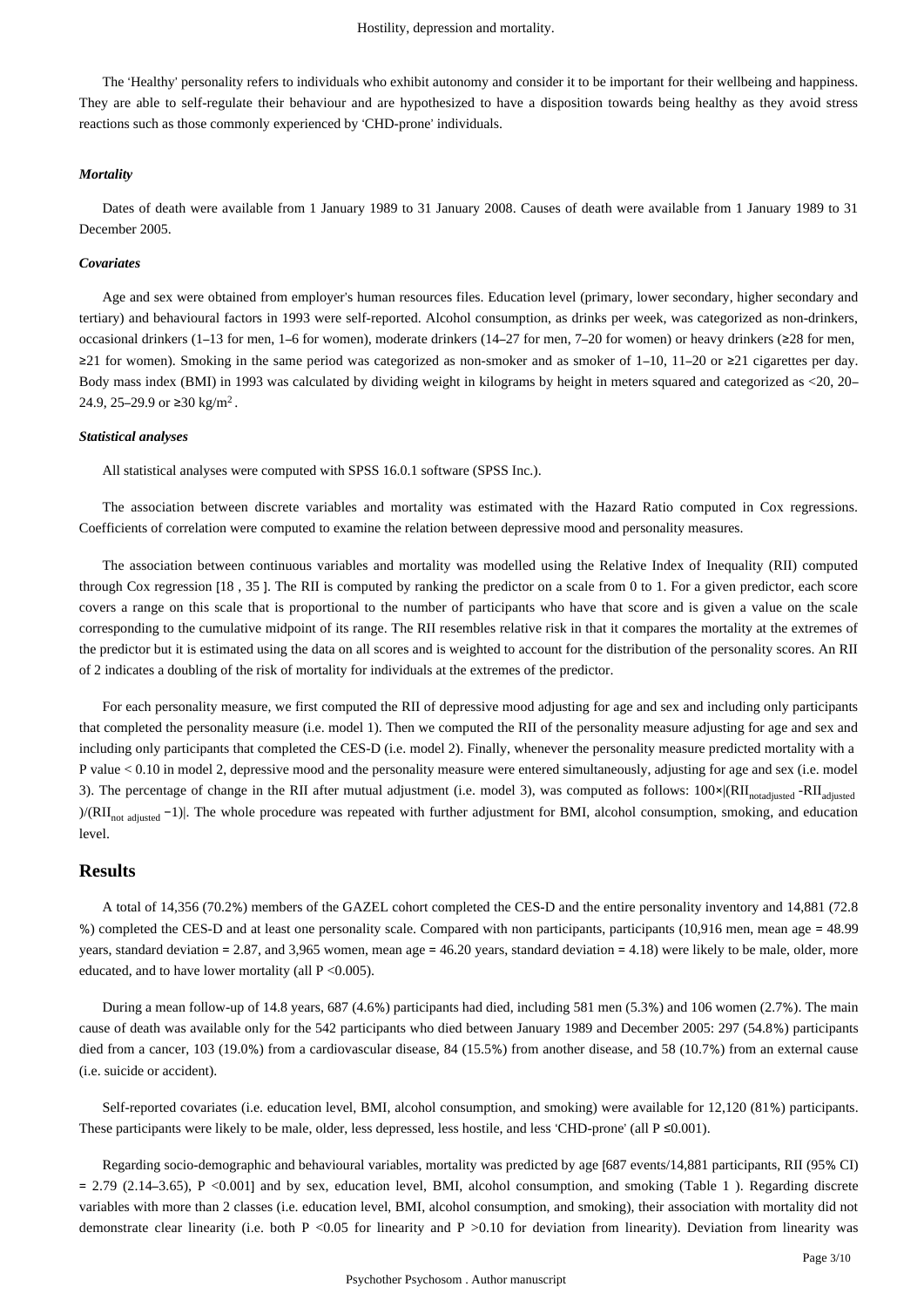The 'Healthy' personality refers to individuals who exhibit autonomy and consider it to be important for their wellbeing and happiness. They are able to self-regulate their behaviour and are hypothesized to have a disposition towards being healthy as they avoid stress reactions such as those commonly experienced by 'CHD-prone' individuals.

#### *Mortality*

Dates of death were available from 1 January 1989 to 31 January 2008. Causes of death were available from 1 January 1989 to 31 December 2005.

## *Covariates*

Age and sex were obtained from employer's human resources files. Education level (primary, lower secondary, higher secondary and tertiary) and behavioural factors in 1993 were self-reported. Alcohol consumption, as drinks per week, was categorized as non-drinkers, occasional drinkers (1–13 for men, 1–6 for women), moderate drinkers (14–27 for men, 7–20 for women) or heavy drinkers (≥28 for men, ≥21 for women). Smoking in the same period was categorized as non-smoker and as smoker of 1–10, 11–20 or ≥21 cigarettes per day. Body mass index (BMI) in 1993 was calculated by dividing weight in kilograms by height in meters squared and categorized as <20, 20– 24.9, 25–29.9 or ≥30 kg/m<sup>2</sup>.

#### *Statistical analyses*

All statistical analyses were computed with SPSS 16.0.1 software (SPSS Inc.).

The association between discrete variables and mortality was estimated with the Hazard Ratio computed in Cox regressions. Coefficients of correlation were computed to examine the relation between depressive mood and personality measures.

The association between continuous variables and mortality was modelled using the Relative Index of Inequality (RII) computed through Cox regression [18 , 35 ]. The RII is computed by ranking the predictor on a scale from 0 to 1. For a given predictor, each score covers a range on this scale that is proportional to the number of participants who have that score and is given a value on the scale corresponding to the cumulative midpoint of its range. The RII resembles relative risk in that it compares the mortality at the extremes of the predictor but it is estimated using the data on all scores and is weighted to account for the distribution of the personality scores. An RII of 2 indicates a doubling of the risk of mortality for individuals at the extremes of the predictor.

For each personality measure, we first computed the RII of depressive mood adjusting for age and sex and including only participants that completed the personality measure (i.e. model 1). Then we computed the RII of the personality measure adjusting for age and sex and including only participants that completed the CES-D (i.e. model 2). Finally, whenever the personality measure predicted mortality with a P value < 0.10 in model 2, depressive mood and the personality measure were entered simultaneously, adjusting for age and sex (i.e. model 3). The percentage of change in the RII after mutual adjustment (i.e. model 3), was computed as follows:  $100 \times |RII_{\text{nodinsted}} - RII_{\text{adiusted}}|$ )/(RII<sub>not adjusted</sub> −1). The whole procedure was repeated with further adjustment for BMI, alcohol consumption, smoking, and education level.

## **Results**

A total of 14,356 (70.2%) members of the GAZEL cohort completed the CES-D and the entire personality inventory and 14,881 (72.8 %) completed the CES-D and at least one personality scale. Compared with non participants, participants (10,916 men, mean age = 48.99 years, standard deviation = 2.87, and 3.965 women, mean age = 46.20 years, standard deviation = 4.18) were likely to be male, older, more educated, and to have lower mortality (all P <0.005).

During a mean follow-up of 14.8 years, 687 (4.6%) participants had died, including 581 men (5.3%) and 106 women (2.7%). The main cause of death was available only for the 542 participants who died between January 1989 and December 2005: 297 (54.8%) participants died from a cancer, 103 (19.0%) from a cardiovascular disease, 84 (15.5%) from another disease, and 58 (10.7%) from an external cause (i.e. suicide or accident).

Self-reported covariates (i.e. education level, BMI, alcohol consumption, and smoking) were available for 12,120 (81%) participants. These participants were likely to be male, older, less depressed, less hostile, and less 'CHD-prone' (all P ≤0.001).

Regarding socio-demographic and behavioural variables, mortality was predicted by age [687 events/14,881 participants, RII (95% CI)  $= 2.79$  (2.14–3.65), P <0.001] and by sex, education level, BMI, alcohol consumption, and smoking (Table 1). Regarding discrete variables with more than 2 classes (i.e. education level, BMI, alcohol consumption, and smoking), their association with mortality did not demonstrate clear linearity (i.e. both P <0.05 for linearity and P >0.10 for deviation from linearity). Deviation from linearity was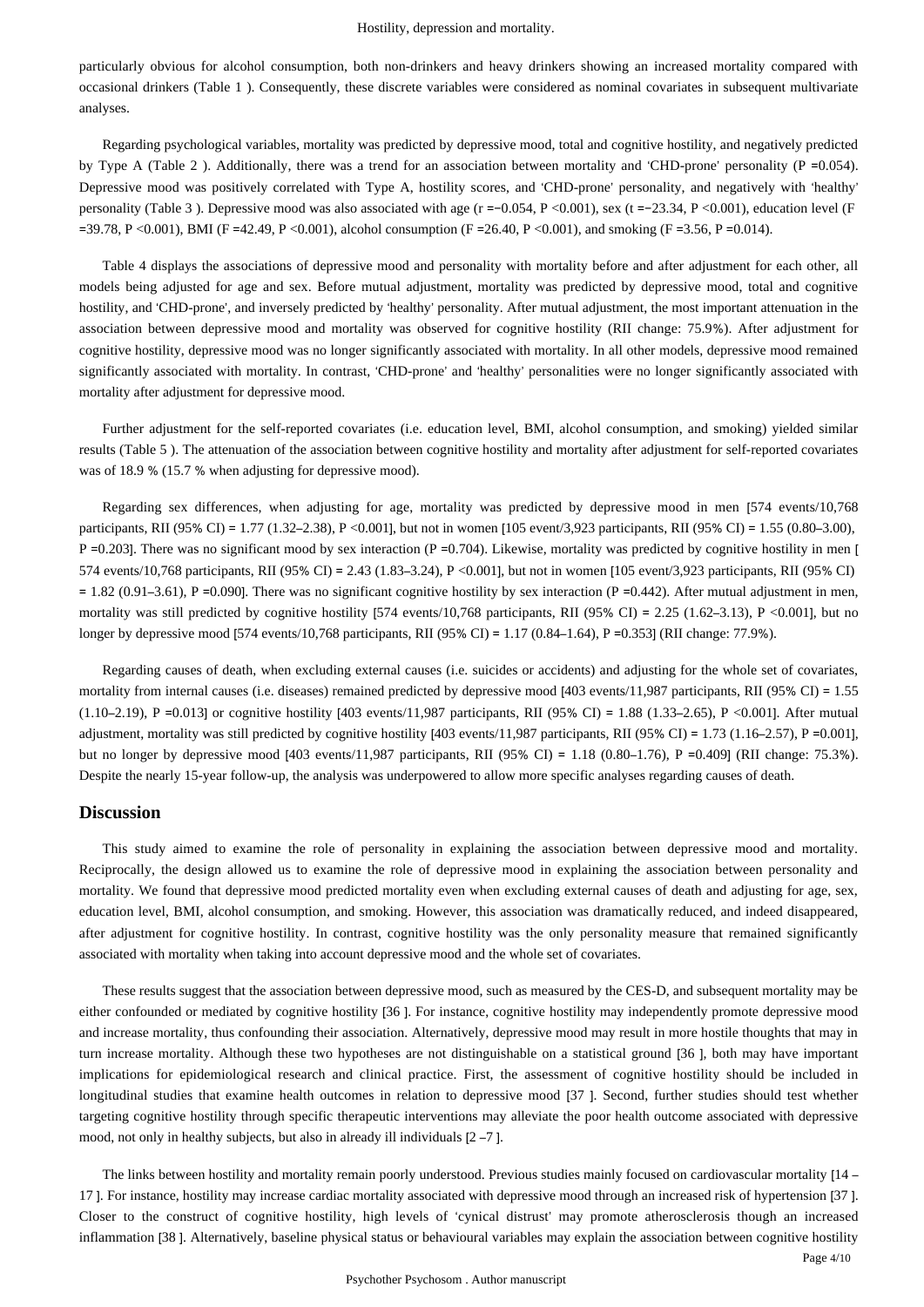#### Hostility, depression and mortality.

particularly obvious for alcohol consumption, both non-drinkers and heavy drinkers showing an increased mortality compared with occasional drinkers (Table 1 ). Consequently, these discrete variables were considered as nominal covariates in subsequent multivariate analyses.

Regarding psychological variables, mortality was predicted by depressive mood, total and cognitive hostility, and negatively predicted by Type A (Table 2). Additionally, there was a trend for an association between mortality and 'CHD-prone' personality (P =  $0.054$ ). Depressive mood was positively correlated with Type A, hostility scores, and 'CHD-prone' personality, and negatively with 'healthy' personality (Table 3 ). Depressive mood was also associated with age (r =−0.054, P <0.001), sex (t =−23.34, P <0.001), education level (F  $=$  39.78, P <0.001), BMI (F =42.49, P <0.001), alcohol consumption (F =26.40, P <0.001), and smoking (F =3.56, P =0.014).

Table 4 displays the associations of depressive mood and personality with mortality before and after adjustment for each other, all models being adjusted for age and sex. Before mutual adjustment, mortality was predicted by depressive mood, total and cognitive hostility, and 'CHD-prone', and inversely predicted by 'healthy' personality. After mutual adjustment, the most important attenuation in the association between depressive mood and mortality was observed for cognitive hostility (RII change: 75.9%). After adjustment for cognitive hostility, depressive mood was no longer significantly associated with mortality. In all other models, depressive mood remained significantly associated with mortality. In contrast, 'CHD-prone' and 'healthy' personalities were no longer significantly associated with mortality after adjustment for depressive mood.

Further adjustment for the self-reported covariates (i.e. education level, BMI, alcohol consumption, and smoking) yielded similar results (Table 5 ). The attenuation of the association between cognitive hostility and mortality after adjustment for self-reported covariates was of 18.9 % (15.7 % when adjusting for depressive mood).

Regarding sex differences, when adjusting for age, mortality was predicted by depressive mood in men [574 events/10,768 participants, RII (95% CI) = 1.77 (1.32–2.38), P <0.001], but not in women [105 event/3,923 participants, RII (95% CI) = 1.55 (0.80–3.00),  $P = 0.203$ ]. There was no significant mood by sex interaction ( $P = 0.704$ ). Likewise, mortality was predicted by cognitive hostility in men [ 574 events/10,768 participants, RII (95% CI) = 2.43 (1.83–3.24), P <0.001], but not in women [105 event/3,923 participants, RII (95% CI)  $= 1.82$  (0.91–3.61), P =0.090]. There was no significant cognitive hostility by sex interaction (P =0.442). After mutual adjustment in men, mortality was still predicted by cognitive hostility [574 events/10,768 participants, RII (95% CI) = 2.25 (1.62–3.13), P <0.001], but no longer by depressive mood [574 events/10,768 participants, RII (95% CI) = 1.17 (0.84–1.64), P =0.353] (RII change: 77.9%).

Regarding causes of death, when excluding external causes (i.e. suicides or accidents) and adjusting for the whole set of covariates, mortality from internal causes (i.e. diseases) remained predicted by depressive mood [403 events/11,987 participants, RII (95% CI) = 1.55 (1.10–2.19), P =0.013] or cognitive hostility [403 events/11,987 participants, RII (95% CI) = 1.88 (1.33–2.65), P <0.001]. After mutual adjustment, mortality was still predicted by cognitive hostility [403 events/11,987 participants, RII (95% CI) = 1.73 (1.16–2.57), P =0.001], but no longer by depressive mood [403 events/11,987 participants, RII (95% CI) = 1.18 (0.80–1.76), P =0.409] (RII change: 75.3%). Despite the nearly 15-year follow-up, the analysis was underpowered to allow more specific analyses regarding causes of death.

### **Discussion**

This study aimed to examine the role of personality in explaining the association between depressive mood and mortality. Reciprocally, the design allowed us to examine the role of depressive mood in explaining the association between personality and mortality. We found that depressive mood predicted mortality even when excluding external causes of death and adjusting for age, sex, education level, BMI, alcohol consumption, and smoking. However, this association was dramatically reduced, and indeed disappeared, after adjustment for cognitive hostility. In contrast, cognitive hostility was the only personality measure that remained significantly associated with mortality when taking into account depressive mood and the whole set of covariates.

These results suggest that the association between depressive mood, such as measured by the CES-D, and subsequent mortality may be either confounded or mediated by cognitive hostility [36 ]. For instance, cognitive hostility may independently promote depressive mood and increase mortality, thus confounding their association. Alternatively, depressive mood may result in more hostile thoughts that may in turn increase mortality. Although these two hypotheses are not distinguishable on a statistical ground [36 ], both may have important implications for epidemiological research and clinical practice. First, the assessment of cognitive hostility should be included in longitudinal studies that examine health outcomes in relation to depressive mood [37 ]. Second, further studies should test whether targeting cognitive hostility through specific therapeutic interventions may alleviate the poor health outcome associated with depressive mood, not only in healthy subjects, but also in already ill individuals [2 –7 ].

The links between hostility and mortality remain poorly understood. Previous studies mainly focused on cardiovascular mortality [14 – 17 ]. For instance, hostility may increase cardiac mortality associated with depressive mood through an increased risk of hypertension [37 ]. Closer to the construct of cognitive hostility, high levels of 'cynical distrust' may promote atherosclerosis though an increased inflammation [38 ]. Alternatively, baseline physical status or behavioural variables may explain the association between cognitive hostility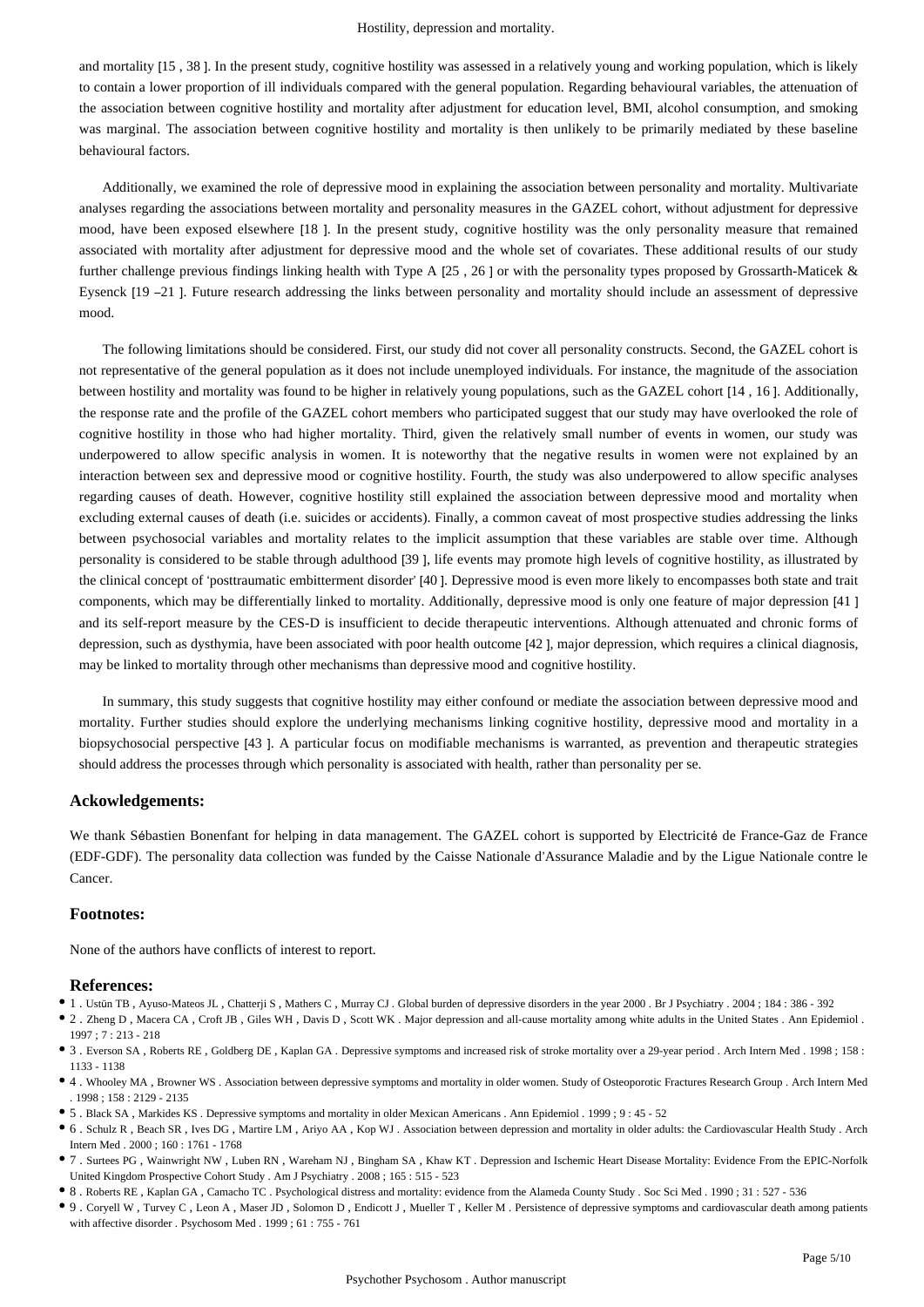#### Hostility, depression and mortality.

and mortality [15 , 38 ]. In the present study, cognitive hostility was assessed in a relatively young and working population, which is likely to contain a lower proportion of ill individuals compared with the general population. Regarding behavioural variables, the attenuation of the association between cognitive hostility and mortality after adjustment for education level, BMI, alcohol consumption, and smoking was marginal. The association between cognitive hostility and mortality is then unlikely to be primarily mediated by these baseline behavioural factors.

Additionally, we examined the role of depressive mood in explaining the association between personality and mortality. Multivariate analyses regarding the associations between mortality and personality measures in the GAZEL cohort, without adjustment for depressive mood, have been exposed elsewhere [18 ]. In the present study, cognitive hostility was the only personality measure that remained associated with mortality after adjustment for depressive mood and the whole set of covariates. These additional results of our study further challenge previous findings linking health with Type A [25, 26] or with the personality types proposed by Grossarth-Maticek & Eysenck [19 –21 ]. Future research addressing the links between personality and mortality should include an assessment of depressive mood.

The following limitations should be considered. First, our study did not cover all personality constructs. Second, the GAZEL cohort is not representative of the general population as it does not include unemployed individuals. For instance, the magnitude of the association between hostility and mortality was found to be higher in relatively young populations, such as the GAZEL cohort [14 , 16 ]. Additionally, the response rate and the profile of the GAZEL cohort members who participated suggest that our study may have overlooked the role of cognitive hostility in those who had higher mortality. Third, given the relatively small number of events in women, our study was underpowered to allow specific analysis in women. It is noteworthy that the negative results in women were not explained by an interaction between sex and depressive mood or cognitive hostility. Fourth, the study was also underpowered to allow specific analyses regarding causes of death. However, cognitive hostility still explained the association between depressive mood and mortality when excluding external causes of death (i.e. suicides or accidents). Finally, a common caveat of most prospective studies addressing the links between psychosocial variables and mortality relates to the implicit assumption that these variables are stable over time. Although personality is considered to be stable through adulthood [39 ], life events may promote high levels of cognitive hostility, as illustrated by the clinical concept of 'posttraumatic embitterment disorder' [40 ]. Depressive mood is even more likely to encompasses both state and trait components, which may be differentially linked to mortality. Additionally, depressive mood is only one feature of major depression [41 ] and its self-report measure by the CES-D is insufficient to decide therapeutic interventions. Although attenuated and chronic forms of depression, such as dysthymia, have been associated with poor health outcome [42 ], major depression, which requires a clinical diagnosis, may be linked to mortality through other mechanisms than depressive mood and cognitive hostility.

In summary, this study suggests that cognitive hostility may either confound or mediate the association between depressive mood and mortality. Further studies should explore the underlying mechanisms linking cognitive hostility, depressive mood and mortality in a biopsychosocial perspective [43 ]. A particular focus on modifiable mechanisms is warranted, as prevention and therapeutic strategies should address the processes through which personality is associated with health, rather than personality per se.

### **Ackowledgements:**

We thank Sébastien Bonenfant for helping in data management. The GAZEL cohort is supported by Electricité de France-Gaz de France (EDF-GDF). The personality data collection was funded by the Caisse Nationale d'Assurance Maladie and by the Ligue Nationale contre le Cancer.

#### **Footnotes:**

None of the authors have conflicts of interest to report.

#### **References:**

- 1 . Ustün TB , Ayuso-Mateos JL , Chatterji S , Mathers C , Murray CJ . Global burden of depressive disorders in the year 2000 . Br J Psychiatry . 2004 ; 184 : 386 392
- 2 . Zheng D , Macera CA , Croft JB , Giles WH , Davis D , Scott WK . Major depression and all-cause mortality among white adults in the United States . Ann Epidemiol . 1997 ; 7 : 213 - 218
- 3 . Everson SA , Roberts RE , Goldberg DE , Kaplan GA . Depressive symptoms and increased risk of stroke mortality over a 29-year period . Arch Intern Med . 1998 ; 158 : 1133 - 1138
- 4 . Whooley MA , Browner WS . Association between depressive symptoms and mortality in older women. Study of Osteoporotic Fractures Research Group . Arch Intern Med . 1998 ; 158 : 2129 - 2135
- 5 . Black SA , Markides KS . Depressive symptoms and mortality in older Mexican Americans . Ann Epidemiol . 1999 ; 9 : 45 52
- 6 . Schulz R , Beach SR , Ives DG , Martire LM , Ariyo AA , Kop WJ . Association between depression and mortality in older adults: the Cardiovascular Health Study . Arch Intern Med . 2000 ; 160 : 1761 - 1768
- 7 . Surtees PG , Wainwright NW , Luben RN , Wareham NJ , Bingham SA , Khaw KT . Depression and Ischemic Heart Disease Mortality: Evidence From the EPIC-Norfolk United Kingdom Prospective Cohort Study . Am J Psychiatry . 2008 ; 165 : 515 - 523
- 8 . Roberts RE , Kaplan GA , Camacho TC . Psychological distress and mortality: evidence from the Alameda County Study . Soc Sci Med . 1990 ; 31 : 527 536
- 9 . Coryell W , Turvey C , Leon A , Maser JD , Solomon D , Endicott J , Mueller T , Keller M . Persistence of depressive symptoms and cardiovascular death among patients with affective disorder . Psychosom Med . 1999 ; 61 : 755 - 761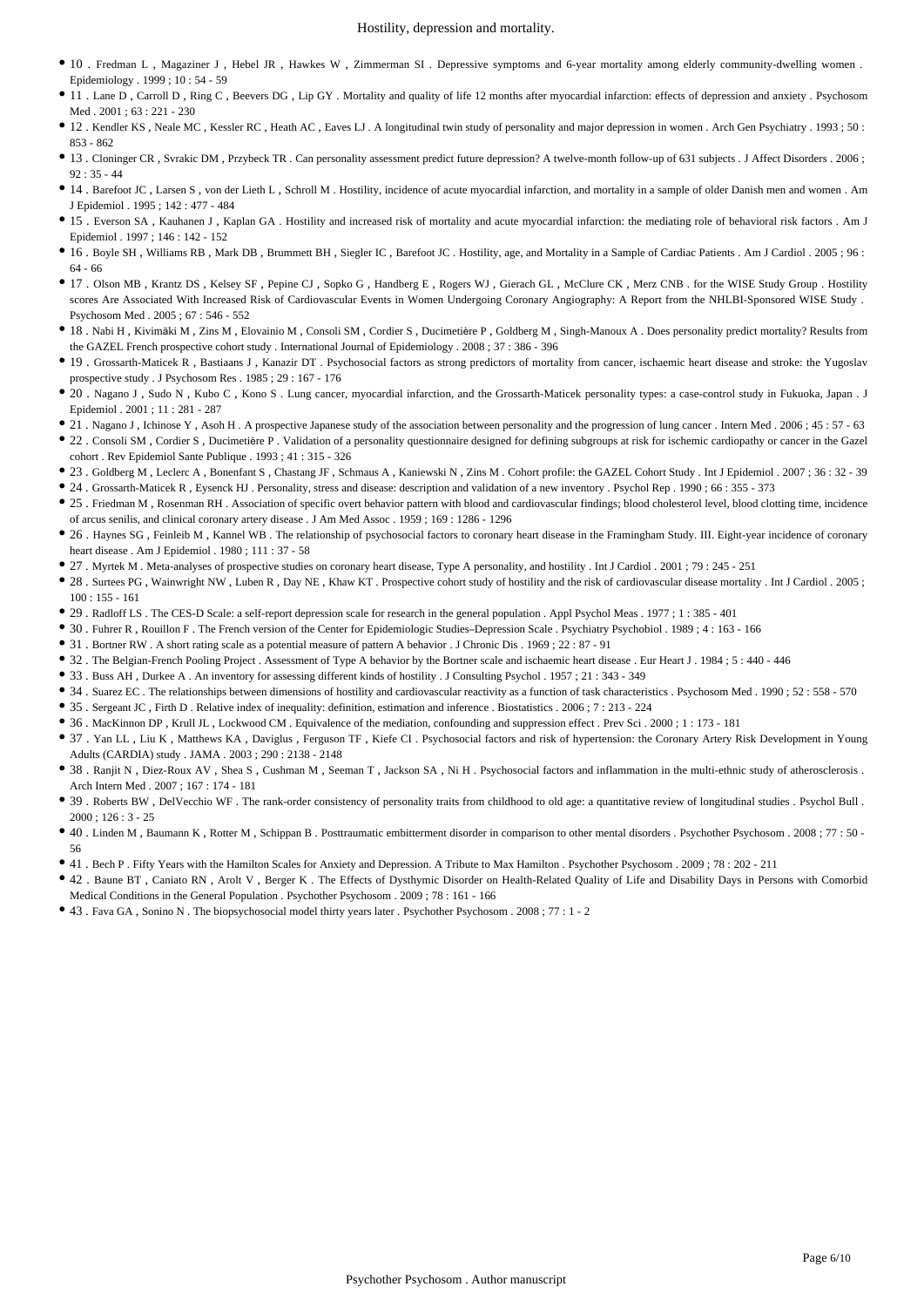- 10 . Fredman L , Magaziner J , Hebel JR , Hawkes W , Zimmerman SI . Depressive symptoms and 6-year mortality among elderly community-dwelling women . Epidemiology . 1999 ; 10 : 54 - 59
- 11 . Lane D , Carroll D , Ring C , Beevers DG , Lip GY . Mortality and quality of life 12 months after myocardial infarction: effects of depression and anxiety . Psychosom Med . 2001 ; 63 : 221 - 230
- 12 . Kendler KS , Neale MC , Kessler RC , Heath AC , Eaves LJ . A longitudinal twin study of personality and major depression in women . Arch Gen Psychiatry . 1993 ; 50 : 853 - 862
- 13 . Cloninger CR , Svrakic DM , Przybeck TR . Can personality assessment predict future depression? A twelve-month follow-up of 631 subjects . J Affect Disorders . 2006 ; 92 : 35 - 44
- 14 . Barefoot JC , Larsen S , von der Lieth L , Schroll M . Hostility, incidence of acute myocardial infarction, and mortality in a sample of older Danish men and women . Am J Epidemiol . 1995 ; 142 : 477 - 484
- 15 . Everson SA , Kauhanen J , Kaplan GA . Hostility and increased risk of mortality and acute myocardial infarction: the mediating role of behavioral risk factors . Am J Epidemiol  $1997 \cdot 146 \cdot 142 = 152$
- 16 . Boyle SH , Williams RB , Mark DB , Brummett BH , Siegler IC , Barefoot JC . Hostility, age, and Mortality in a Sample of Cardiac Patients . Am J Cardiol . 2005 ; 96 : 64 - 66
- 17 . Olson MB , Krantz DS , Kelsey SF , Pepine CJ , Sopko G , Handberg E , Rogers WJ , Gierach GL , McClure CK , Merz CNB . for the WISE Study Group . Hostility scores Are Associated With Increased Risk of Cardiovascular Events in Women Undergoing Coronary Angiography: A Report from the NHLBI-Sponsored WISE Study . Psychosom Med . 2005 ; 67 : 546 - 552
- 18 . Nabi H , Kivimäki M , Zins M , Elovainio M , Consoli SM , Cordier S , Ducimetière P , Goldberg M , Singh-Manoux A . Does personality predict mortality? Results from the GAZEL French prospective cohort study . International Journal of Epidemiology . 2008 ; 37 : 386 - 396
- 19 . Grossarth-Maticek R , Bastiaans J , Kanazir DT . Psychosocial factors as strong predictors of mortality from cancer, ischaemic heart disease and stroke: the Yugoslav prospective study . J Psychosom Res . 1985 ; 29 : 167 - 176
- 20 . Nagano J , Sudo N , Kubo C , Kono S . Lung cancer, myocardial infarction, and the Grossarth-Maticek personality types: a case-control study in Fukuoka, Japan . J Epidemiol . 2001 ; 11 : 281 - 287
- 21 . Nagano J, Ichinose Y, Asoh H. A prospective Japanese study of the association between personality and the progression of lung cancer . Intern Med . 2006 ; 45 : 57 63
- 22 . Consoli SM , Cordier S , Ducimetière P . Validation of a personality questionnaire designed for defining subgroups at risk for ischemic cardiopathy or cancer in the Gazel cohort . Rev Epidemiol Sante Publique . 1993 ; 41 : 315 - 326
- 23 . Goldberg M , Leclerc A , Bonenfant S , Chastang JF , Schmaus A , Kaniewski N , Zins M . Cohort profile: the GAZEL Cohort Study . Int J Epidemiol . 2007 ; 36 : 32 39
- 24 . Grossarth-Maticek R , Eysenck HJ . Personality, stress and disease: description and validation of a new inventory . Psychol Rep . 1990 ; 66 : 355 373
- 25 . Friedman M , Rosenman RH . Association of specific overt behavior pattern with blood and cardiovascular findings; blood cholesterol level, blood clotting time, incidence of arcus senilis, and clinical coronary artery disease . J Am Med Assoc . 1959 ; 169 : 1286 - 1296
- 26 . Haynes SG , Feinleib M , Kannel WB . The relationship of psychosocial factors to coronary heart disease in the Framingham Study. III. Eight-year incidence of coronary heart disease . Am J Epidemiol . 1980 ; 111 : 37 - 58
- 27 . Myrtek M . Meta-analyses of prospective studies on coronary heart disease, Type A personality, and hostility . Int J Cardiol . 2001 ; 79 : 245 251
- 28 . Surtees PG , Wainwright NW , Luben R , Day NE , Khaw KT . Prospective cohort study of hostility and the risk of cardiovascular disease mortality . Int J Cardiol . 2005 ; 100 : 155 - 161
- 29 . Radloff LS . The CES-D Scale: a self-report depression scale for research in the general population . Appl Psychol Meas . 1977 ; 1 : 385 401
- 30 . Fuhrer R , Rouillon F . The French version of the Center for Epidemiologic Studies–Depression Scale . Psychiatry Psychobiol . 1989 ; 4 : 163 166
- 31 . Bortner RW . A short rating scale as a potential measure of pattern A behavior . J Chronic Dis . 1969 ; 22 : 87 91
- 32 . The Belgian-French Pooling Project . Assessment of Type A behavior by the Bortner scale and ischaemic heart disease . Eur Heart J . 1984 ; 5 : 440 446
- 33 . Buss AH , Durkee A . An inventory for assessing different kinds of hostility . J Consulting Psychol . 1957 ; 21 : 343 349
- 34 . Suarez EC . The relationships between dimensions of hostility and cardiovascular reactivity as a function of task characteristics . Psychosom Med . 1990 ; 52 : 558 570
- 35 . Sergeant JC , Firth D . Relative index of inequality: definition, estimation and inference . Biostatistics . 2006 ; 7 : 213 224
- 36 . MacKinnon DP , Krull JL , Lockwood CM . Equivalence of the mediation, confounding and suppression effect . Prev Sci . 2000 ; 1 : 173 181
- 37 . Yan LL , Liu K , Matthews KA , Daviglus , Ferguson TF , Kiefe CI . Psychosocial factors and risk of hypertension: the Coronary Artery Risk Development in Young Adults (CARDIA) study . JAMA . 2003 ; 290 : 2138 - 2148
- 38 . Ranjit N , Diez-Roux AV , Shea S , Cushman M , Seeman T , Jackson SA , Ni H . Psychosocial factors and inflammation in the multi-ethnic study of atherosclerosis . Arch Intern Med . 2007 ; 167 : 174 - 181
- 39 . Roberts BW , DelVecchio WF . The rank-order consistency of personality traits from childhood to old age: a quantitative review of longitudinal studies . Psychol Bull . 2000 ; 126 : 3 - 25
- 40 . Linden M , Baumann K , Rotter M , Schippan B . Posttraumatic embitterment disorder in comparison to other mental disorders . Psychother Psychosom . 2008 ; 77 : 50 56
- 41 . Bech P . Fifty Years with the Hamilton Scales for Anxiety and Depression. A Tribute to Max Hamilton . Psychother Psychosom . 2009 ; 78 : 202 211
- 42 . Baune BT , Caniato RN , Arolt V , Berger K . The Effects of Dysthymic Disorder on Health-Related Quality of Life and Disability Days in Persons with Comorbid Medical Conditions in the General Population . Psychother Psychosom . 2009 ; 78 : 161 - 166
- 43 . Fava GA , Sonino N . The biopsychosocial model thirty years later . Psychother Psychosom . 2008 ; 77 : 1 2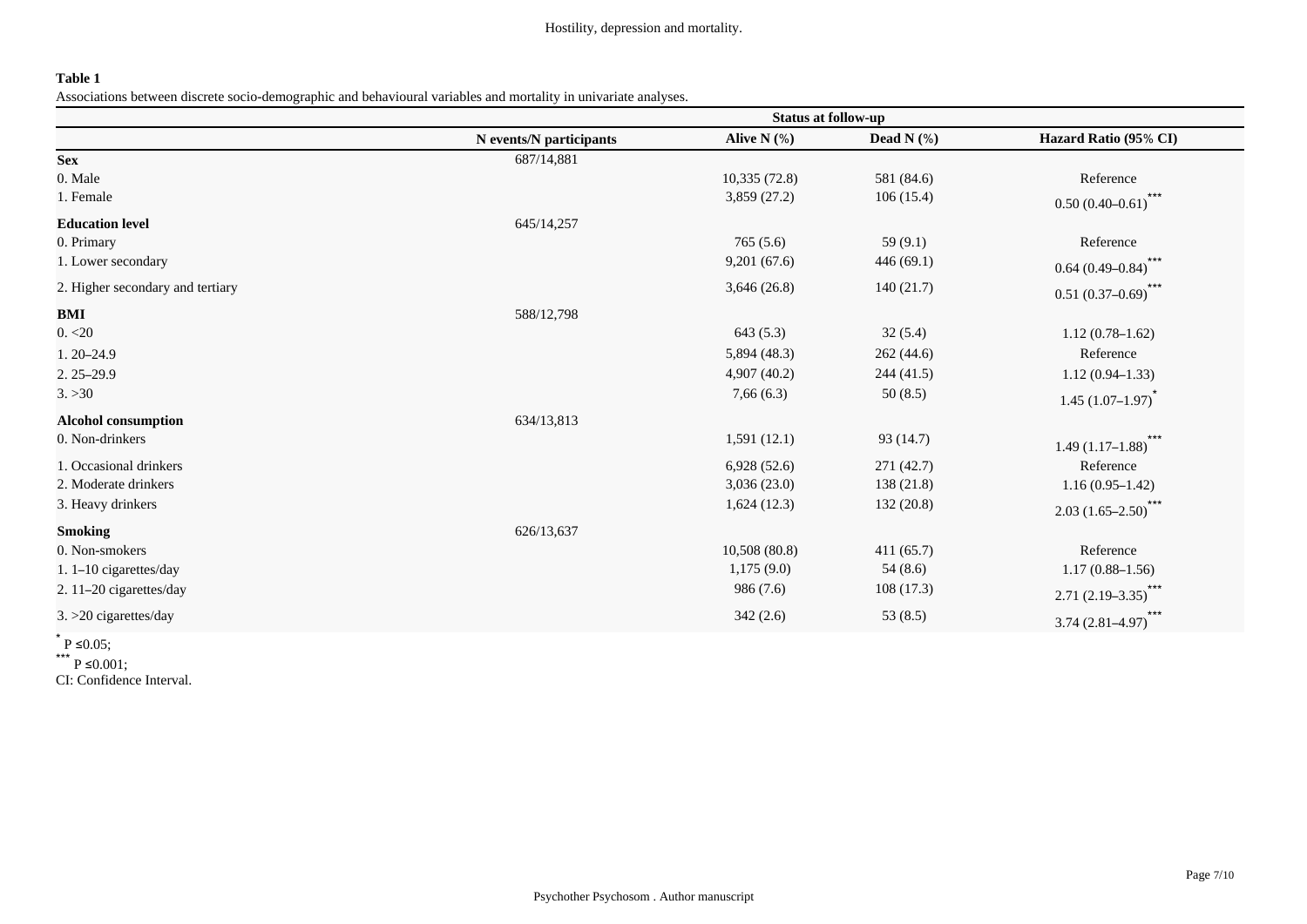## **Table 1**

Associations between discrete socio-demographic and behavioural variables and mortality in univariate analyses.

|                                  | <b>Status at follow-up</b> |               |               |                              |  |
|----------------------------------|----------------------------|---------------|---------------|------------------------------|--|
|                                  | N events/N participants    | Alive $N$ (%) | Dead N $(\%)$ | Hazard Ratio (95% CI)        |  |
| <b>Sex</b>                       | 687/14,881                 |               |               |                              |  |
| 0. Male                          |                            | 10,335(72.8)  | 581 (84.6)    | Reference                    |  |
| 1. Female                        |                            | 3,859(27.2)   | 106(15.4)     | $***$<br>$0.50(0.40-0.61)$   |  |
| <b>Education level</b>           | 645/14,257                 |               |               |                              |  |
| 0. Primary                       |                            | 765(5.6)      | 59(9.1)       | Reference                    |  |
| 1. Lower secondary               |                            | 9,201(67.6)   | 446(69.1)     | $***$<br>$0.64(0.49 - 0.84)$ |  |
| 2. Higher secondary and tertiary |                            | 3,646(26.8)   | 140(21.7)     | ***<br>$0.51(0.37-0.69)$     |  |
| <b>BMI</b>                       | 588/12,798                 |               |               |                              |  |
| 0. < 20                          |                            | 643(5.3)      | 32(5.4)       | $1.12(0.78-1.62)$            |  |
| $1.20 - 24.9$                    |                            | 5,894(48.3)   | 262(44.6)     | Reference                    |  |
| $2.25 - 29.9$                    |                            | 4,907(40.2)   | 244 (41.5)    | $1.12(0.94 - 1.33)$          |  |
| 3. > 30                          |                            | 7,66(6.3)     | 50(8.5)       | $1.45(1.07-1.97)^{*}$        |  |
| <b>Alcohol consumption</b>       | 634/13,813                 |               |               |                              |  |
| 0. Non-drinkers                  |                            | 1,591(12.1)   | 93 (14.7)     | $***$<br>$1.49(1.17-1.88)$   |  |
| 1. Occasional drinkers           |                            | 6,928(52.6)   | 271 (42.7)    | Reference                    |  |
| 2. Moderate drinkers             |                            | 3,036(23.0)   | 138 (21.8)    | $1.16(0.95-1.42)$            |  |
| 3. Heavy drinkers                |                            | 1,624(12.3)   | 132(20.8)     | $***$<br>$2.03(1.65-2.50)$   |  |
| <b>Smoking</b>                   | 626/13,637                 |               |               |                              |  |
| 0. Non-smokers                   |                            | 10,508(80.8)  | 411(65.7)     | Reference                    |  |
| 1. $1-10$ cigarettes/day         |                            | 1,175(9.0)    | 54(8.6)       | $1.17(0.88 - 1.56)$          |  |
| 2. 11-20 cigarettes/day          |                            | 986 (7.6)     | 108(17.3)     | $***$<br>$2.71(2.19 - 3.35)$ |  |
| $3. >20$ cigarettes/day          |                            | 342(2.6)      | 53 $(8.5)$    | ***<br>$3.74(2.81 - 4.97)$   |  |
|                                  |                            |               |               |                              |  |

 $*$  P ≤0.05;

\*\*\* P ≤0.001;

CI: Confidence Interval.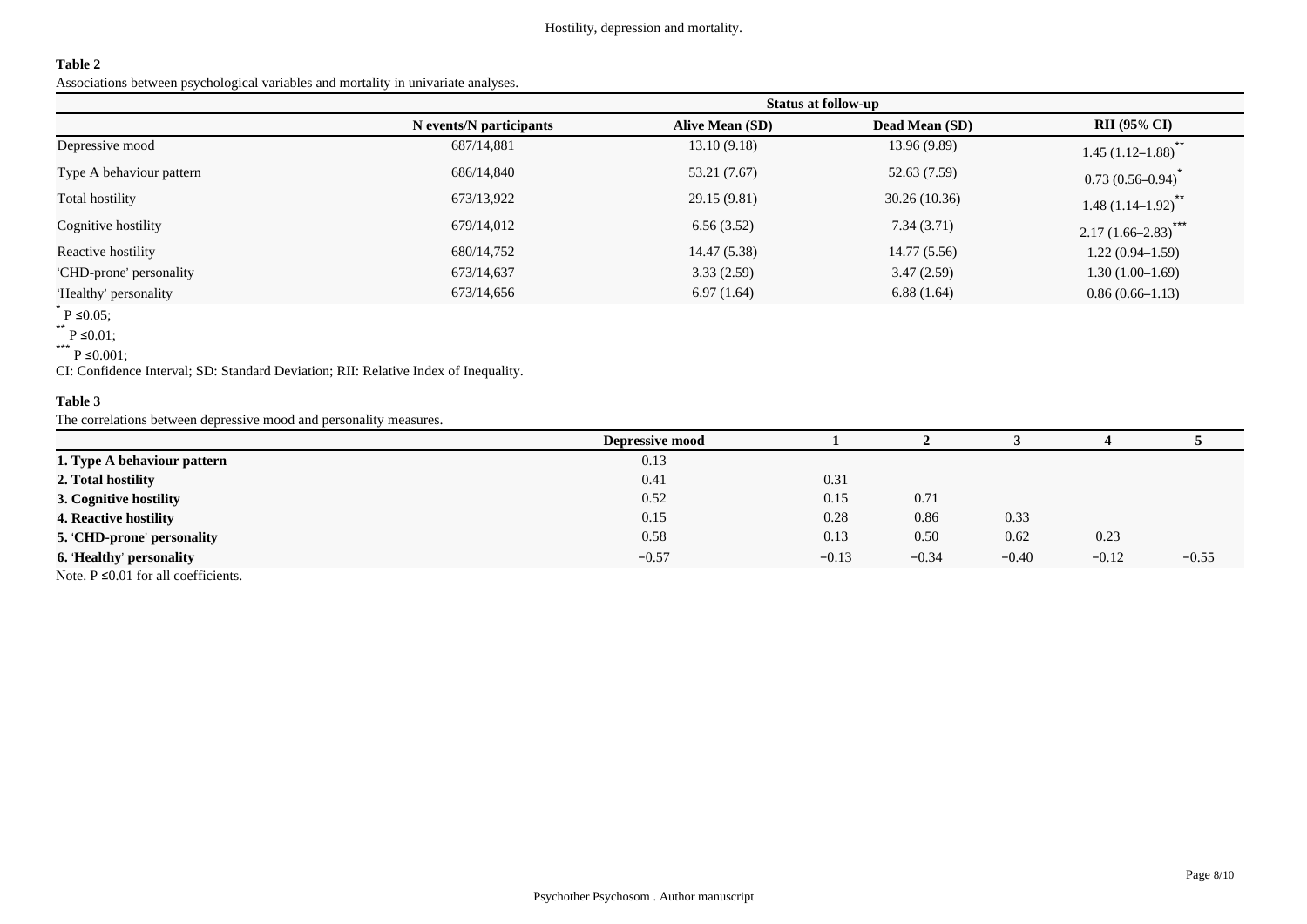### **Table 2**

Associations between psychological variables and mortality in univariate analyses.

|                          | <b>Status at follow-up</b> |                        |                       |                              |  |
|--------------------------|----------------------------|------------------------|-----------------------|------------------------------|--|
|                          | N events/N participants    | <b>Alive Mean (SD)</b> | <b>Dead Mean (SD)</b> | <b>RII</b> (95% CI)          |  |
| Depressive mood          | 687/14,881                 | 13.10(9.18)            | 13.96(9.89)           | $***$<br>$1.45(1.12 - 1.88)$ |  |
| Type A behaviour pattern | 686/14,840                 | 53.21 (7.67)           | 52.63 (7.59)          | $0.73(0.56 - 0.94)$          |  |
| Total hostility          | 673/13,922                 | 29.15 (9.81)           | 30.26(10.36)          | $***$<br>$1.48(1.14 - 1.92)$ |  |
| Cognitive hostility      | 679/14,012                 | 6.56(3.52)             | 7.34(3.71)            | ***<br>$2.17(1.66 - 2.83)$   |  |
| Reactive hostility       | 680/14,752                 | 14.47 (5.38)           | 14.77(5.56)           | $1.22(0.94-1.59)$            |  |
| 'CHD-prone' personality  | 673/14,637                 | 3.33(2.59)             | 3.47(2.59)            | $1.30(1.00-1.69)$            |  |
| 'Healthy' personality    | 673/14,656                 | 6.97(1.64)             | 6.88(1.64)            | $0.86(0.66 - 1.13)$          |  |

 $*$  P ≤0.05;

\*\* P ≤0.01;

CI: Confidence Interval; SD: Standard Deviation; RII: Relative Index of Inequality.

## **Table 3**

The correlations between depressive mood and personality measures.

|                                          | <b>Depressive mood</b> |         |         |         |         |         |
|------------------------------------------|------------------------|---------|---------|---------|---------|---------|
| 1. Type A behaviour pattern              | 0.13                   |         |         |         |         |         |
| 2. Total hostility                       | 0.41                   | 0.31    |         |         |         |         |
| 3. Cognitive hostility                   | 0.52                   | 0.15    | 0.71    |         |         |         |
| 4. Reactive hostility                    | 0.15                   | 0.28    | 0.86    | 0.33    |         |         |
| 5. 'CHD-prone' personality               | 0.58                   | 0.13    | 0.50    | 0.62    | 0.23    |         |
| 6. Healthy' personality                  | $-0.57$                | $-0.13$ | $-0.34$ | $-0.40$ | $-0.12$ | $-0.55$ |
| Note. $P \le 0.01$ for all coefficients. |                        |         |         |         |         |         |

<sup>\*\*\*</sup> P ≤0.001;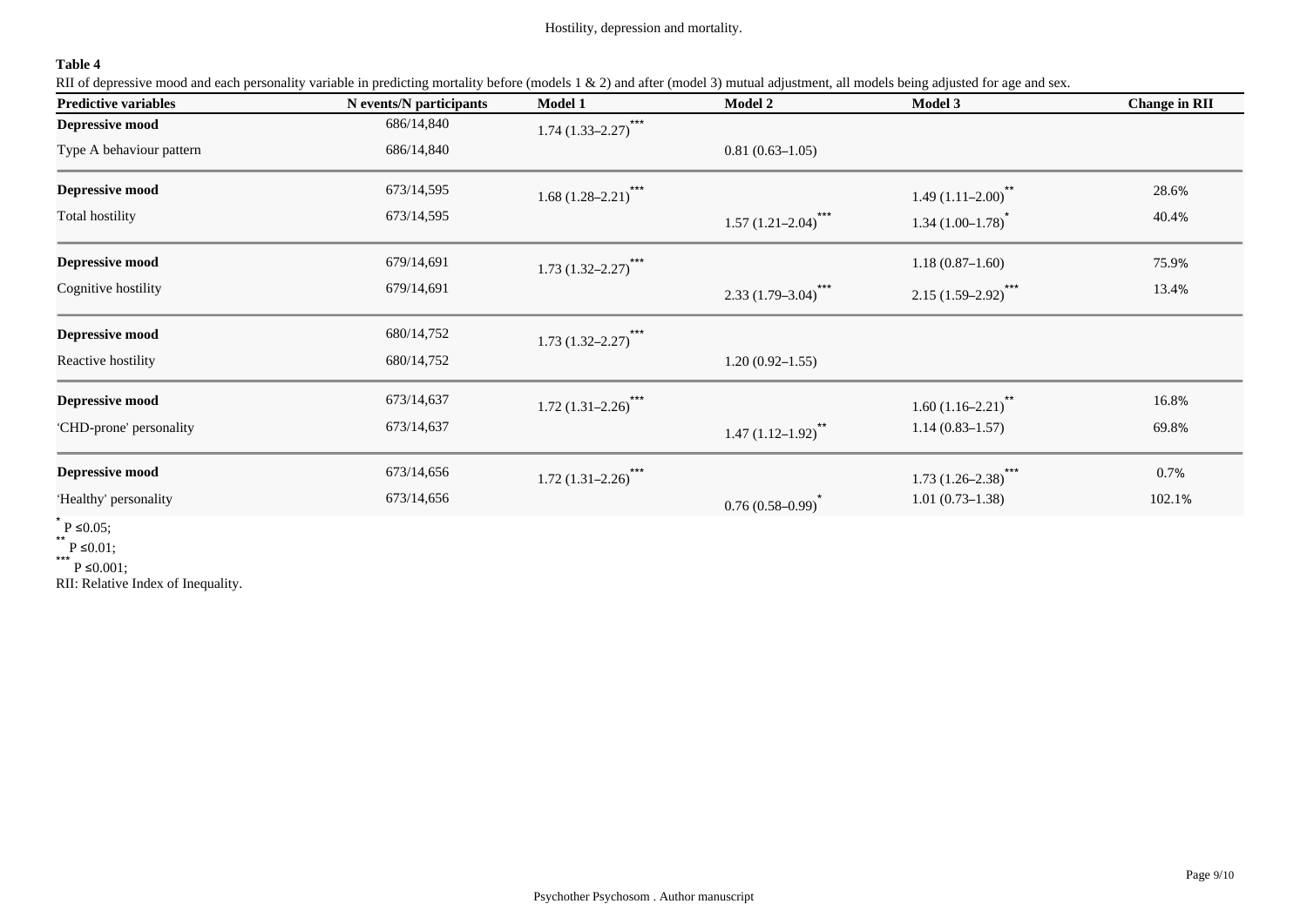Hostility, depression and mortality.

## **Table 4**

RII of depressive mood and each personality variable in predicting mortality before (models 1 & 2) and after (model 3) mutual adjustment, all models being adjusted for age and sex.

| <b>Predictive variables</b> | N events/N participants | <b>Model 1</b>                     | <b>Model 2</b>             | <b>Model 3</b>             | <b>Change in RII</b> |
|-----------------------------|-------------------------|------------------------------------|----------------------------|----------------------------|----------------------|
| <b>Depressive mood</b>      | 686/14,840              | $***$<br>$1.74(1.33 - 2.27)$       |                            |                            |                      |
| Type A behaviour pattern    | 686/14,840              |                                    | $0.81(0.63 - 1.05)$        |                            |                      |
| <b>Depressive mood</b>      | 673/14,595              | $1.68(1.28 - 2.21)$ ***            |                            | $1.49(1.11-2.00)^{**}$     | 28.6%                |
| Total hostility             | 673/14,595              |                                    | $***$<br>$1.57(1.21-2.04)$ | $1.34(1.00-1.78)^{*}$      | 40.4%                |
| <b>Depressive mood</b>      | 679/14,691              | $1.73(1.32 - 2.27)$ <sup>***</sup> |                            | $1.18(0.87-1.60)$          | 75.9%                |
| Cognitive hostility         | 679/14,691              |                                    | $2.33(1.79-3.04)$ ***      | $2.15(1.59-2.92)$ ***      | 13.4%                |
| <b>Depressive mood</b>      | 680/14,752              | $1.73(1.32 - 2.27)$ ***            |                            |                            |                      |
| Reactive hostility          | 680/14,752              |                                    | $1.20(0.92 - 1.55)$        |                            |                      |
| <b>Depressive mood</b>      | 673/14,637              | $1.72(1.31 - 2.26)$                |                            | $1.60(1.16-2.21)^{**}$     | 16.8%                |
| 'CHD-prone' personality     | 673/14,637              |                                    | $1.47(1.12-1.92)^{**}$     | $1.14(0.83 - 1.57)$        | 69.8%                |
| <b>Depressive mood</b>      | 673/14,656              | $***$<br>$1.72(1.31 - 2.26)$       |                            | ***<br>$1.73(1.26 - 2.38)$ | 0.7%                 |
| 'Healthy' personality       | 673/14,656              |                                    | $0.76(0.58-0.99)^{*}$      | $1.01(0.73 - 1.38)$        | 102.1%               |

 $*$  P ≤0.05;

\*\* P ≤0.01;

\*\*\* P ≤0.001;

RII: Relative Index of Inequality.